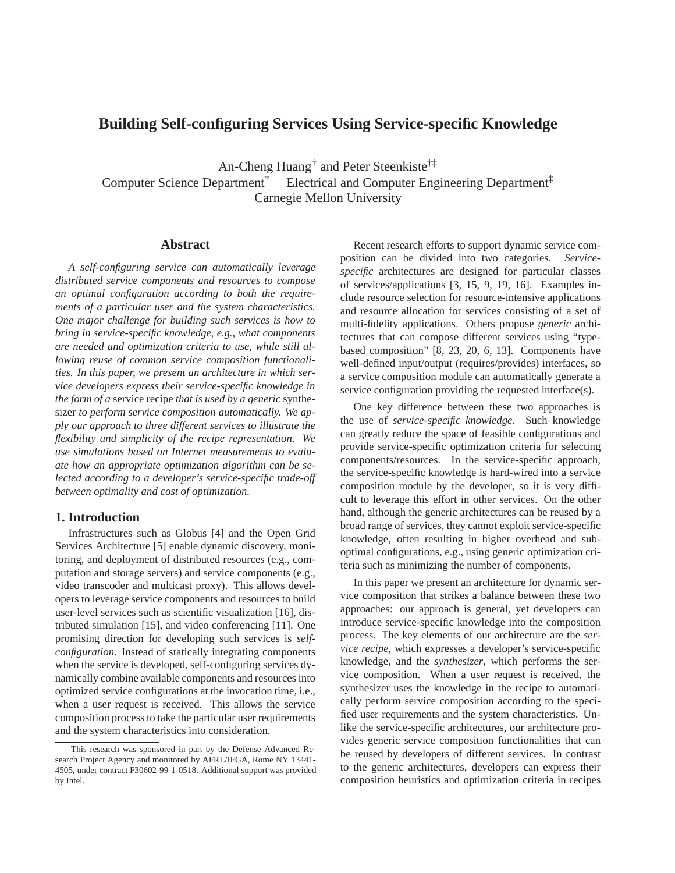# **Building Self-configuring Services Using Service-specific Knowledge**

An-Cheng Huang† and Peter Steenkiste†‡ Computer Science Department<sup>†</sup> Electrical and Computer Engineering Department<sup>‡</sup> Carnegie Mellon University

## **Abstract**

*A self-configuring service can automatically leverage distributed service components and resources to compose an optimal configuration according to both the requirements of a particular user and the system characteristics. One major challenge for building such services is how to bring in service-specific knowledge, e.g., what components are needed and optimization criteria to use, while still allowing reuse of common service composition functionalities. In this paper, we present an architecture in which service developers express their service-specific knowledge in the form of a* service recipe *that is used by a generic* synthesizer *to perform service composition automatically. We apply our approach to three different services to illustrate the flexibility and simplicity of the recipe representation. We use simulations based on Internet measurements to evaluate how an appropriate optimization algorithm can be selected according to a developer's service-specific trade-off between optimality and cost of optimization.*

## **1. Introduction**

Infrastructures such as Globus [4] and the Open Grid Services Architecture [5] enable dynamic discovery, monitoring, and deployment of distributed resources (e.g., computation and storage servers) and service components (e.g., video transcoder and multicast proxy). This allows developers to leverage service components and resources to build user-level services such as scientific visualization [16], distributed simulation [15], and video conferencing [11]. One promising direction for developing such services is *selfconfiguration*. Instead of statically integrating components when the service is developed, self-configuring services dynamically combine available components and resources into optimized service configurations at the invocation time, i.e., when a user request is received. This allows the service composition process to take the particular user requirements and the system characteristics into consideration.

Recent research efforts to support dynamic service composition can be divided into two categories. *Servicespecific* architectures are designed for particular classes of services/applications [3, 15, 9, 19, 16]. Examples include resource selection for resource-intensive applications and resource allocation for services consisting of a set of multi-fidelity applications. Others propose *generic* architectures that can compose different services using "typebased composition" [8, 23, 20, 6, 13]. Components have well-defined input/output (requires/provides) interfaces, so a service composition module can automatically generate a service configuration providing the requested interface(s).

One key difference between these two approaches is the use of *service-specific knowledge*. Such knowledge can greatly reduce the space of feasible configurations and provide service-specific optimization criteria for selecting components/resources. In the service-specific approach, the service-specific knowledge is hard-wired into a service composition module by the developer, so it is very difficult to leverage this effort in other services. On the other hand, although the generic architectures can be reused by a broad range of services, they cannot exploit service-specific knowledge, often resulting in higher overhead and suboptimal configurations, e.g., using generic optimization criteria such as minimizing the number of components.

In this paper we present an architecture for dynamic service composition that strikes a balance between these two approaches: our approach is general, yet developers can introduce service-specific knowledge into the composition process. The key elements of our architecture are the *service recipe*, which expresses a developer's service-specific knowledge, and the *synthesizer*, which performs the service composition. When a user request is received, the synthesizer uses the knowledge in the recipe to automatically perform service composition according to the specified user requirements and the system characteristics. Unlike the service-specific architectures, our architecture provides generic service composition functionalities that can be reused by developers of different services. In contrast to the generic architectures, developers can express their composition heuristics and optimization criteria in recipes

This research was sponsored in part by the Defense Advanced Research Project Agency and monitored by AFRL/IFGA, Rome NY 13441- 4505, under contract F30602-99-1-0518. Additional support was provided by Intel.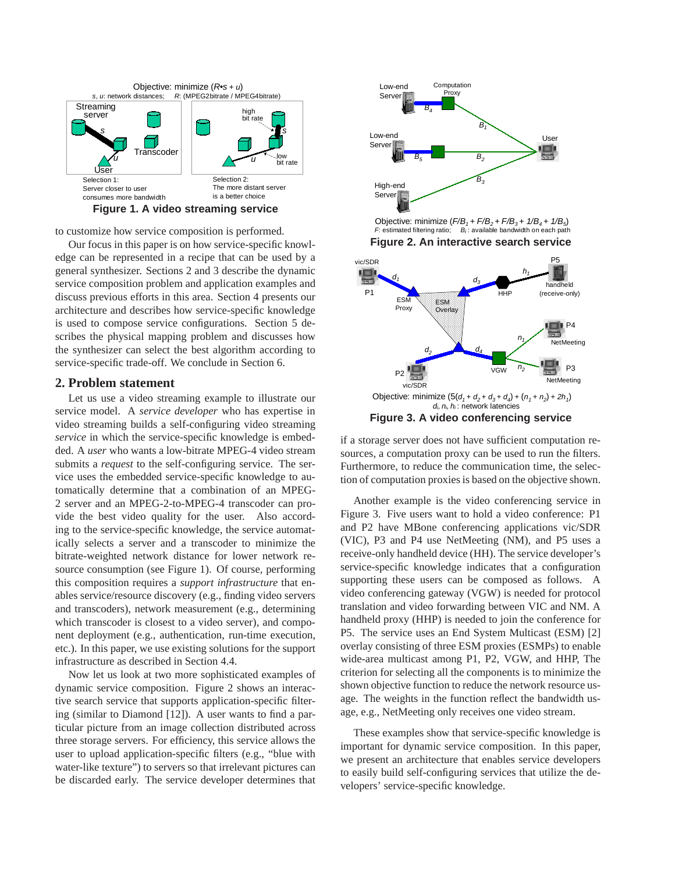

to customize how service composition is performed.

Our focus in this paper is on how service-specific knowledge can be represented in a recipe that can be used by a general synthesizer. Sections 2 and 3 describe the dynamic service composition problem and application examples and discuss previous efforts in this area. Section 4 presents our architecture and describes how service-specific knowledge is used to compose service configurations. Section 5 describes the physical mapping problem and discusses how the synthesizer can select the best algorithm according to service-specific trade-off. We conclude in Section 6.

## **2. Problem statement**

Let us use a video streaming example to illustrate our service model. A *service developer* who has expertise in video streaming builds a self-configuring video streaming *service* in which the service-specific knowledge is embedded. A *user* who wants a low-bitrate MPEG-4 video stream submits a *request* to the self-configuring service. The service uses the embedded service-specific knowledge to automatically determine that a combination of an MPEG-2 server and an MPEG-2-to-MPEG-4 transcoder can provide the best video quality for the user. Also according to the service-specific knowledge, the service automatically selects a server and a transcoder to minimize the bitrate-weighted network distance for lower network resource consumption (see Figure 1). Of course, performing this composition requires a *support infrastructure* that enables service/resource discovery (e.g., finding video servers and transcoders), network measurement (e.g., determining which transcoder is closest to a video server), and component deployment (e.g., authentication, run-time execution, etc.). In this paper, we use existing solutions for the support infrastructure as described in Section 4.4.

Now let us look at two more sophisticated examples of dynamic service composition. Figure 2 shows an interactive search service that supports application-specific filtering (similar to Diamond [12]). A user wants to find a particular picture from an image collection distributed across three storage servers. For efficiency, this service allows the user to upload application-specific filters (e.g., "blue with water-like texture") to servers so that irrelevant pictures can be discarded early. The service developer determines that



Objective: minimize ( $F/B_1 + F/B_2 + F/B_3 + 1/B_4 + 1/B_5$ ) *F*: estimated filtering ratio; *B<sub>i</sub>*: available bandwidth on each path **Figure 2. An interactive search service**



**Figure 3. A video conferencing service**

if a storage server does not have sufficient computation resources, a computation proxy can be used to run the filters. Furthermore, to reduce the communication time, the selection of computation proxies is based on the objective shown.

Another example is the video conferencing service in Figure 3. Five users want to hold a video conference: P1 and P2 have MBone conferencing applications vic/SDR (VIC), P3 and P4 use NetMeeting (NM), and P5 uses a receive-only handheld device (HH). The service developer's service-specific knowledge indicates that a configuration supporting these users can be composed as follows. A video conferencing gateway (VGW) is needed for protocol translation and video forwarding between VIC and NM. A handheld proxy (HHP) is needed to join the conference for P5. The service uses an End System Multicast (ESM) [2] overlay consisting of three ESM proxies (ESMPs) to enable wide-area multicast among P1, P2, VGW, and HHP, The criterion for selecting all the components is to minimize the shown objective function to reduce the network resource usage. The weights in the function reflect the bandwidth usage, e.g., NetMeeting only receives one video stream.

These examples show that service-specific knowledge is important for dynamic service composition. In this paper, we present an architecture that enables service developers to easily build self-configuring services that utilize the developers' service-specific knowledge.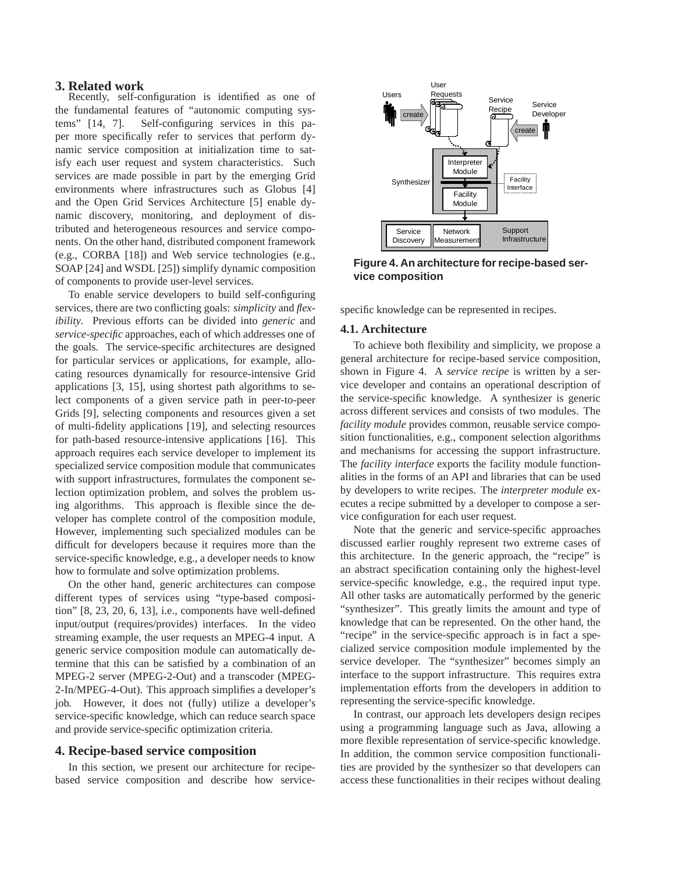# **3. Related work**

Recently, self-configuration is identified as one of the fundamental features of "autonomic computing systems" [14, 7]. Self-configuring services in this paper more specifically refer to services that perform dynamic service composition at initialization time to satisfy each user request and system characteristics. Such services are made possible in part by the emerging Grid environments where infrastructures such as Globus [4] and the Open Grid Services Architecture [5] enable dynamic discovery, monitoring, and deployment of distributed and heterogeneous resources and service components. On the other hand, distributed component framework (e.g., CORBA [18]) and Web service technologies (e.g., SOAP [24] and WSDL [25]) simplify dynamic composition of components to provide user-level services.

To enable service developers to build self-configuring services, there are two conflicting goals: *simplicity* and *flexibility*. Previous efforts can be divided into *generic* and *service-specific* approaches, each of which addresses one of the goals. The service-specific architectures are designed for particular services or applications, for example, allocating resources dynamically for resource-intensive Grid applications [3, 15], using shortest path algorithms to select components of a given service path in peer-to-peer Grids [9], selecting components and resources given a set of multi-fidelity applications [19], and selecting resources for path-based resource-intensive applications [16]. This approach requires each service developer to implement its specialized service composition module that communicates with support infrastructures, formulates the component selection optimization problem, and solves the problem using algorithms. This approach is flexible since the developer has complete control of the composition module, However, implementing such specialized modules can be difficult for developers because it requires more than the service-specific knowledge, e.g., a developer needs to know how to formulate and solve optimization problems.

On the other hand, generic architectures can compose different types of services using "type-based composition" [8, 23, 20, 6, 13], i.e., components have well-defined input/output (requires/provides) interfaces. In the video streaming example, the user requests an MPEG-4 input. A generic service composition module can automatically determine that this can be satisfied by a combination of an MPEG-2 server (MPEG-2-Out) and a transcoder (MPEG-2-In/MPEG-4-Out). This approach simplifies a developer's job. However, it does not (fully) utilize a developer's service-specific knowledge, which can reduce search space and provide service-specific optimization criteria.

## **4. Recipe-based service composition**

In this section, we present our architecture for recipebased service composition and describe how service-



**Figure 4. An architecture for recipe-based service composition**

specific knowledge can be represented in recipes.

#### **4.1. Architecture**

To achieve both flexibility and simplicity, we propose a general architecture for recipe-based service composition, shown in Figure 4. A *service recipe* is written by a service developer and contains an operational description of the service-specific knowledge. A synthesizer is generic across different services and consists of two modules. The *facility module* provides common, reusable service composition functionalities, e.g., component selection algorithms and mechanisms for accessing the support infrastructure. The *facility interface* exports the facility module functionalities in the forms of an API and libraries that can be used by developers to write recipes. The *interpreter module* executes a recipe submitted by a developer to compose a service configuration for each user request.

Note that the generic and service-specific approaches discussed earlier roughly represent two extreme cases of this architecture. In the generic approach, the "recipe" is an abstract specification containing only the highest-level service-specific knowledge, e.g., the required input type. All other tasks are automatically performed by the generic "synthesizer". This greatly limits the amount and type of knowledge that can be represented. On the other hand, the "recipe" in the service-specific approach is in fact a specialized service composition module implemented by the service developer. The "synthesizer" becomes simply an interface to the support infrastructure. This requires extra implementation efforts from the developers in addition to representing the service-specific knowledge.

In contrast, our approach lets developers design recipes using a programming language such as Java, allowing a more flexible representation of service-specific knowledge. In addition, the common service composition functionalities are provided by the synthesizer so that developers can access these functionalities in their recipes without dealing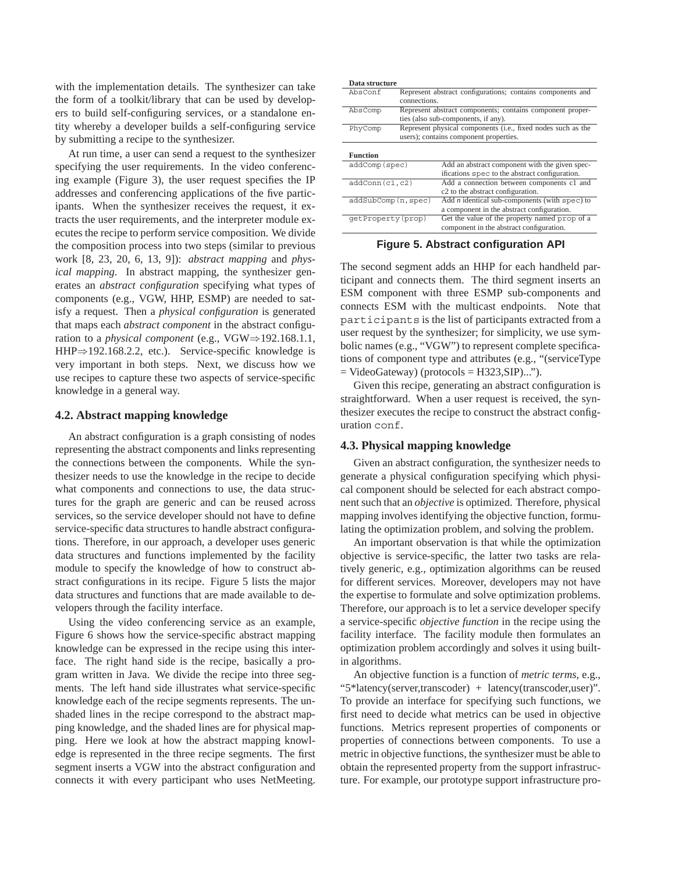with the implementation details. The synthesizer can take the form of a toolkit/library that can be used by developers to build self-configuring services, or a standalone entity whereby a developer builds a self-configuring service by submitting a recipe to the synthesizer.

At run time, a user can send a request to the synthesizer specifying the user requirements. In the video conferencing example (Figure 3), the user request specifies the IP addresses and conferencing applications of the five participants. When the synthesizer receives the request, it extracts the user requirements, and the interpreter module executes the recipe to perform service composition. We divide the composition process into two steps (similar to previous work [8, 23, 20, 6, 13, 9]): *abstract mapping* and *physical mapping*. In abstract mapping, the synthesizer generates an *abstract configuration* specifying what types of components (e.g., VGW, HHP, ESMP) are needed to satisfy a request. Then a *physical configuration* is generated that maps each *abstract component* in the abstract configuration to a *physical component* (e.g., VGW⇒192.168.1.1,  $HHP \Rightarrow 192.168.2.2$ , etc.). Service-specific knowledge is very important in both steps. Next, we discuss how we use recipes to capture these two aspects of service-specific knowledge in a general way.

#### **4.2. Abstract mapping knowledge**

An abstract configuration is a graph consisting of nodes representing the abstract components and links representing the connections between the components. While the synthesizer needs to use the knowledge in the recipe to decide what components and connections to use, the data structures for the graph are generic and can be reused across services, so the service developer should not have to define service-specific data structures to handle abstract configurations. Therefore, in our approach, a developer uses generic data structures and functions implemented by the facility module to specify the knowledge of how to construct abstract configurations in its recipe. Figure 5 lists the major data structures and functions that are made available to developers through the facility interface.

Using the video conferencing service as an example, Figure 6 shows how the service-specific abstract mapping knowledge can be expressed in the recipe using this interface. The right hand side is the recipe, basically a program written in Java. We divide the recipe into three segments. The left hand side illustrates what service-specific knowledge each of the recipe segments represents. The unshaded lines in the recipe correspond to the abstract mapping knowledge, and the shaded lines are for physical mapping. Here we look at how the abstract mapping knowledge is represented in the three recipe segments. The first segment inserts a VGW into the abstract configuration and connects it with every participant who uses NetMeeting.

| Data structure      |              |                                                              |
|---------------------|--------------|--------------------------------------------------------------|
| AbsConf             |              | Represent abstract configurations; contains components and   |
|                     | connections. |                                                              |
| AbsComp             |              | Represent abstract components; contains component proper-    |
|                     |              | ties (also sub-components, if any).                          |
| PhyComp             |              | Represent physical components (i.e., fixed nodes such as the |
|                     |              | users); contains component properties.                       |
|                     |              |                                                              |
| <b>Function</b>     |              |                                                              |
| addComp(spec)       |              | Add an abstract component with the given spec-               |
|                     |              | ifications spec to the abstract configuration.               |
| addConn(c1,c2)      |              | Add a connection between components c1 and                   |
|                     |              | c2 to the abstract configuration.                            |
| addSubComp(n, spec) |              | Add <i>n</i> identical sub-components (with spec) to         |
|                     |              | a component in the abstract configuration.                   |
| qetProperty(prop)   |              | Get the value of the property named prop of a                |
|                     |              | component in the abstract configuration.                     |

#### **Figure 5. Abstract configuration API**

The second segment adds an HHP for each handheld participant and connects them. The third segment inserts an ESM component with three ESMP sub-components and connects ESM with the multicast endpoints. Note that participants is the list of participants extracted from a user request by the synthesizer; for simplicity, we use symbolic names (e.g., "VGW") to represent complete specifications of component type and attributes (e.g., "(serviceType  $=$  VideoGateway) (protocols  $=$  H323, SIP)...").

Given this recipe, generating an abstract configuration is straightforward. When a user request is received, the synthesizer executes the recipe to construct the abstract configuration conf.

### **4.3. Physical mapping knowledge**

Given an abstract configuration, the synthesizer needs to generate a physical configuration specifying which physical component should be selected for each abstract component such that an *objective* is optimized. Therefore, physical mapping involves identifying the objective function, formulating the optimization problem, and solving the problem.

An important observation is that while the optimization objective is service-specific, the latter two tasks are relatively generic, e.g., optimization algorithms can be reused for different services. Moreover, developers may not have the expertise to formulate and solve optimization problems. Therefore, our approach is to let a service developer specify a service-specific *objective function* in the recipe using the facility interface. The facility module then formulates an optimization problem accordingly and solves it using builtin algorithms.

An objective function is a function of *metric terms*, e.g., "5\*latency(server,transcoder) + latency(transcoder,user)". To provide an interface for specifying such functions, we first need to decide what metrics can be used in objective functions. Metrics represent properties of components or properties of connections between components. To use a metric in objective functions, the synthesizer must be able to obtain the represented property from the support infrastructure. For example, our prototype support infrastructure pro-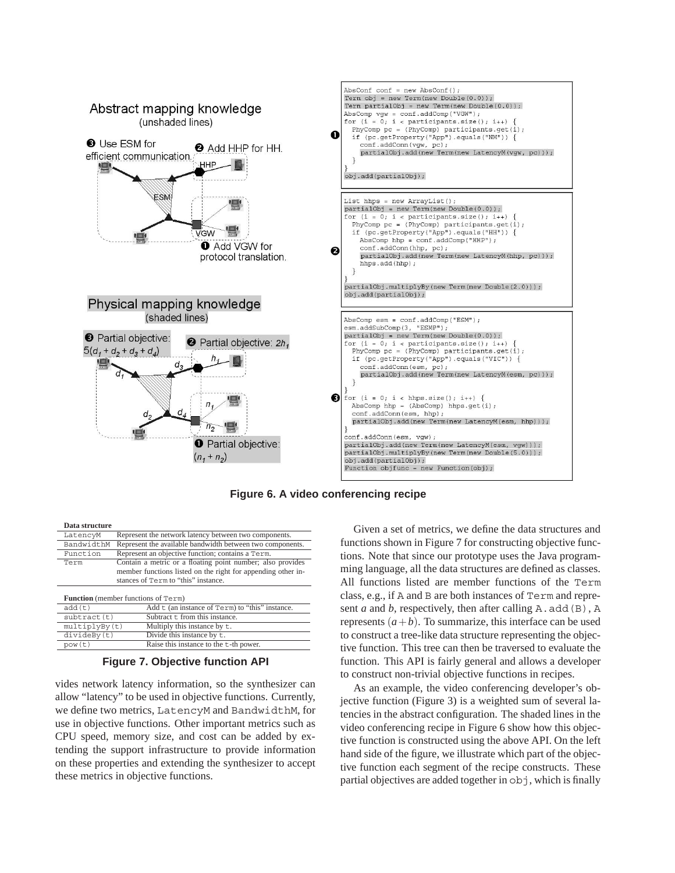

**Figure 6. A video conferencing recipe**

| Data structure                             |                                                                                                                                                                   |  |
|--------------------------------------------|-------------------------------------------------------------------------------------------------------------------------------------------------------------------|--|
| LatencyM                                   | Represent the network latency between two components.                                                                                                             |  |
| BandwidthM                                 | Represent the available bandwidth between two components.                                                                                                         |  |
| Function                                   | Represent an objective function; contains a Term.                                                                                                                 |  |
| Term                                       | Contain a metric or a floating point number; also provides<br>member functions listed on the right for appending other in-<br>stances of Term to "this" instance. |  |
| <b>Function</b> (member functions of Term) |                                                                                                                                                                   |  |
| add(t)                                     | Add t (an instance of Term) to "this" instance.                                                                                                                   |  |
| subtract(t)                                | Subtract t. from this instance.                                                                                                                                   |  |
| multiplyBy(t)                              | Multiply this instance by t.                                                                                                                                      |  |
| divideBy(t)                                | Divide this instance by t.                                                                                                                                        |  |
| pow(t)                                     | Raise this instance to the t-th power.                                                                                                                            |  |

**Figure 7. Objective function API**

vides network latency information, so the synthesizer can allow "latency" to be used in objective functions. Currently, we define two metrics, LatencyM and BandwidthM, for use in objective functions. Other important metrics such as CPU speed, memory size, and cost can be added by extending the support infrastructure to provide information on these properties and extending the synthesizer to accept these metrics in objective functions.

Given a set of metrics, we define the data structures and functions shown in Figure 7 for constructing objective functions. Note that since our prototype uses the Java programming language, all the data structures are defined as classes. All functions listed are member functions of the Term class, e.g., if A and B are both instances of Term and represent *a* and *b*, respectively, then after calling  $A$ , add  $(B)$ ,  $A$ represents  $(a + b)$ . To summarize, this interface can be used to construct a tree-like data structure representing the objective function. This tree can then be traversed to evaluate the function. This API is fairly general and allows a developer to construct non-trivial objective functions in recipes.

As an example, the video conferencing developer's objective function (Figure 3) is a weighted sum of several latencies in the abstract configuration. The shaded lines in the video conferencing recipe in Figure 6 show how this objective function is constructed using the above API. On the left hand side of the figure, we illustrate which part of the objective function each segment of the recipe constructs. These partial objectives are added together in obj, which is finally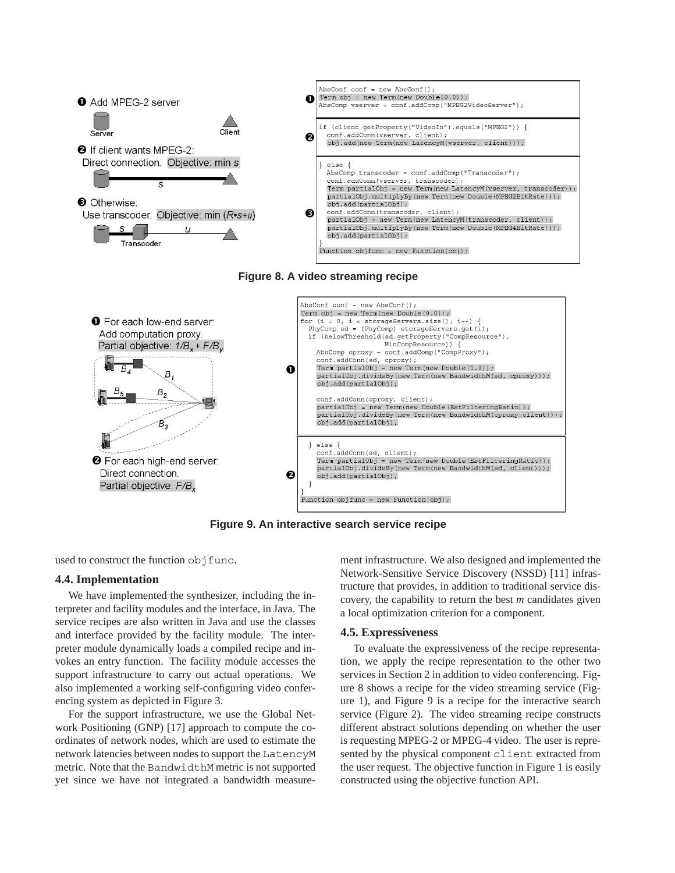

**Figure 9. An interactive search service recipe**

used to construct the function obj func.

## **4.4. Implementation**

We have implemented the synthesizer, including the interpreter and facility modules and the interface, in Java. The service recipes are also written in Java and use the classes and interface provided by the facility module. The interpreter module dynamically loads a compiled recipe and invokes an entry function. The facility module accesses the support infrastructure to carry out actual operations. We also implemented a working self-configuring video conferencing system as depicted in Figure 3.

For the support infrastructure, we use the Global Network Positioning (GNP) [17] approach to compute the coordinates of network nodes, which are used to estimate the network latencies between nodes to support the LatencyM metric. Note that the BandwidthM metric is not supported yet since we have not integrated a bandwidth measurement infrastructure. We also designed and implemented the Network-Sensitive Service Discovery (NSSD) [11] infrastructure that provides, in addition to traditional service discovery, the capability to return the best *m* candidates given a local optimization criterion for a component.

## **4.5. Expressiveness**

To evaluate the expressiveness of the recipe representation, we apply the recipe representation to the other two services in Section 2 in addition to video conferencing. Figure 8 shows a recipe for the video streaming service (Figure 1), and Figure 9 is a recipe for the interactive search service (Figure 2). The video streaming recipe constructs different abstract solutions depending on whether the user is requesting MPEG-2 or MPEG-4 video. The user is represented by the physical component client extracted from the user request. The objective function in Figure 1 is easily constructed using the objective function API.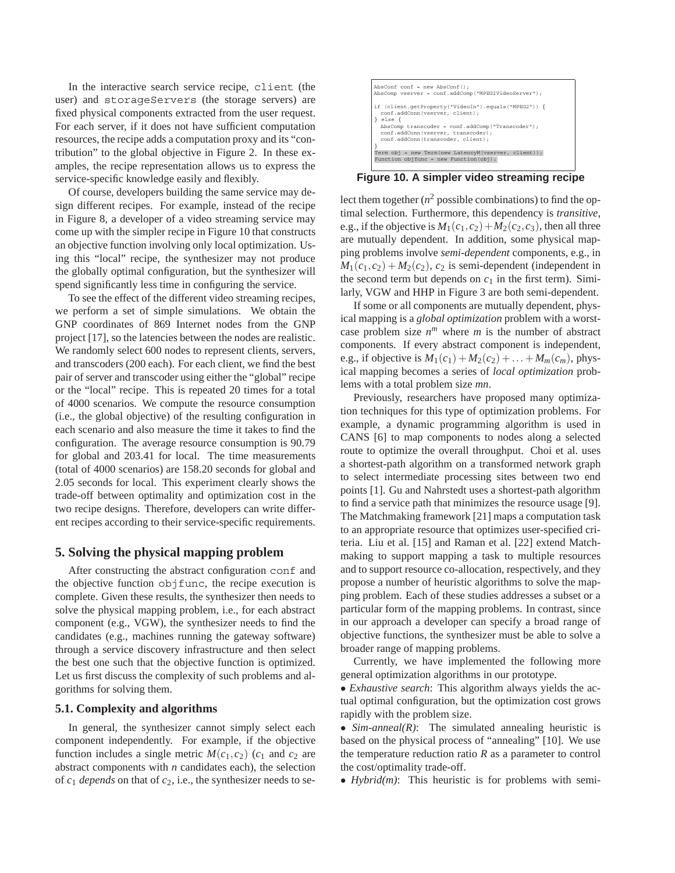In the interactive search service recipe, client (the user) and storageServers (the storage servers) are fixed physical components extracted from the user request. For each server, if it does not have sufficient computation resources, the recipe adds a computation proxy and its "contribution" to the global objective in Figure 2. In these examples, the recipe representation allows us to express the service-specific knowledge easily and flexibly.

Of course, developers building the same service may design different recipes. For example, instead of the recipe in Figure 8, a developer of a video streaming service may come up with the simpler recipe in Figure 10 that constructs an objective function involving only local optimization. Using this "local" recipe, the synthesizer may not produce the globally optimal configuration, but the synthesizer will spend significantly less time in configuring the service.

To see the effect of the different video streaming recipes, we perform a set of simple simulations. We obtain the GNP coordinates of 869 Internet nodes from the GNP project [17], so the latencies between the nodes are realistic. We randomly select 600 nodes to represent clients, servers, and transcoders (200 each). For each client, we find the best pair of server and transcoder using either the "global" recipe or the "local" recipe. This is repeated 20 times for a total of 4000 scenarios. We compute the resource consumption (i.e., the global objective) of the resulting configuration in each scenario and also measure the time it takes to find the configuration. The average resource consumption is 90.79 for global and 203.41 for local. The time measurements (total of 4000 scenarios) are 158.20 seconds for global and 2.05 seconds for local. This experiment clearly shows the trade-off between optimality and optimization cost in the two recipe designs. Therefore, developers can write different recipes according to their service-specific requirements.

## **5. Solving the physical mapping problem**

After constructing the abstract configuration conf and the objective function objfunc, the recipe execution is complete. Given these results, the synthesizer then needs to solve the physical mapping problem, i.e., for each abstract component (e.g., VGW), the synthesizer needs to find the candidates (e.g., machines running the gateway software) through a service discovery infrastructure and then select the best one such that the objective function is optimized. Let us first discuss the complexity of such problems and algorithms for solving them.

## **5.1. Complexity and algorithms**

In general, the synthesizer cannot simply select each component independently. For example, if the objective function includes a single metric  $M(c_1, c_2)$  ( $c_1$  and  $c_2$  are abstract components with *n* candidates each), the selection of *c*<sup>1</sup> *depends* on that of *c*2, i.e., the synthesizer needs to se-



**Figure 10. A simpler video streaming recipe**

lect them together  $(n^2)$  possible combinations) to find the optimal selection. Furthermore, this dependency is *transitive*, e.g., if the objective is  $M_1(c_1, c_2) + M_2(c_2, c_3)$ , then all three are mutually dependent. In addition, some physical mapping problems involve *semi-dependent* components, e.g., in  $M_1(c_1, c_2) + M_2(c_2)$ ,  $c_2$  is semi-dependent (independent in the second term but depends on  $c_1$  in the first term). Similarly, VGW and HHP in Figure 3 are both semi-dependent.

If some or all components are mutually dependent, physical mapping is a *global optimization* problem with a worstcase problem size  $n^m$  where  $m$  is the number of abstract components. If every abstract component is independent, e.g., if objective is  $M_1(c_1) + M_2(c_2) + \ldots + M_m(c_m)$ , physical mapping becomes a series of *local optimization* problems with a total problem size *mn*.

Previously, researchers have proposed many optimization techniques for this type of optimization problems. For example, a dynamic programming algorithm is used in CANS [6] to map components to nodes along a selected route to optimize the overall throughput. Choi et al. uses a shortest-path algorithm on a transformed network graph to select intermediate processing sites between two end points [1]. Gu and Nahrstedt uses a shortest-path algorithm to find a service path that minimizes the resource usage [9]. The Matchmaking framework [21] maps a computation task to an appropriate resource that optimizes user-specified criteria. Liu et al. [15] and Raman et al. [22] extend Matchmaking to support mapping a task to multiple resources and to support resource co-allocation, respectively, and they propose a number of heuristic algorithms to solve the mapping problem. Each of these studies addresses a subset or a particular form of the mapping problems. In contrast, since in our approach a developer can specify a broad range of objective functions, the synthesizer must be able to solve a broader range of mapping problems.

Currently, we have implemented the following more general optimization algorithms in our prototype.

• *Exhaustive search*: This algorithm always yields the actual optimal configuration, but the optimization cost grows rapidly with the problem size.

• *Sim-anneal(R)*: The simulated annealing heuristic is based on the physical process of "annealing" [10]. We use the temperature reduction ratio  $R$  as a parameter to control the cost/optimality trade-off.

• *Hybrid(m)*: This heuristic is for problems with semi-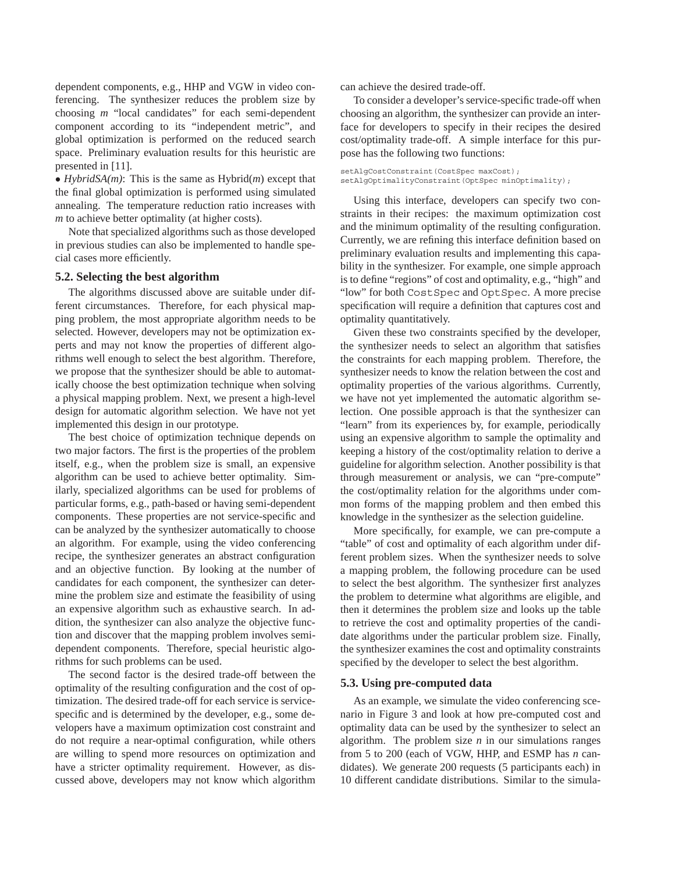dependent components, e.g., HHP and VGW in video conferencing. The synthesizer reduces the problem size by choosing *m* "local candidates" for each semi-dependent component according to its "independent metric", and global optimization is performed on the reduced search space. Preliminary evaluation results for this heuristic are presented in [11].

• *HybridSA(m)*: This is the same as Hybrid(*m*) except that the final global optimization is performed using simulated annealing. The temperature reduction ratio increases with *m* to achieve better optimality (at higher costs).

Note that specialized algorithms such as those developed in previous studies can also be implemented to handle special cases more efficiently.

#### **5.2. Selecting the best algorithm**

The algorithms discussed above are suitable under different circumstances. Therefore, for each physical mapping problem, the most appropriate algorithm needs to be selected. However, developers may not be optimization experts and may not know the properties of different algorithms well enough to select the best algorithm. Therefore, we propose that the synthesizer should be able to automatically choose the best optimization technique when solving a physical mapping problem. Next, we present a high-level design for automatic algorithm selection. We have not yet implemented this design in our prototype.

The best choice of optimization technique depends on two major factors. The first is the properties of the problem itself, e.g., when the problem size is small, an expensive algorithm can be used to achieve better optimality. Similarly, specialized algorithms can be used for problems of particular forms, e.g., path-based or having semi-dependent components. These properties are not service-specific and can be analyzed by the synthesizer automatically to choose an algorithm. For example, using the video conferencing recipe, the synthesizer generates an abstract configuration and an objective function. By looking at the number of candidates for each component, the synthesizer can determine the problem size and estimate the feasibility of using an expensive algorithm such as exhaustive search. In addition, the synthesizer can also analyze the objective function and discover that the mapping problem involves semidependent components. Therefore, special heuristic algorithms for such problems can be used.

The second factor is the desired trade-off between the optimality of the resulting configuration and the cost of optimization. The desired trade-off for each service is servicespecific and is determined by the developer, e.g., some developers have a maximum optimization cost constraint and do not require a near-optimal configuration, while others are willing to spend more resources on optimization and have a stricter optimality requirement. However, as discussed above, developers may not know which algorithm can achieve the desired trade-off.

To consider a developer's service-specific trade-off when choosing an algorithm, the synthesizer can provide an interface for developers to specify in their recipes the desired cost/optimality trade-off. A simple interface for this purpose has the following two functions:

setAlgCostConstraint(CostSpec maxCost); setAlgOptimalityConstraint(OptSpec minOptimality);

Using this interface, developers can specify two constraints in their recipes: the maximum optimization cost and the minimum optimality of the resulting configuration. Currently, we are refining this interface definition based on preliminary evaluation results and implementing this capability in the synthesizer. For example, one simple approach is to define "regions" of cost and optimality, e.g., "high" and "low" for both CostSpec and OptSpec. A more precise specification will require a definition that captures cost and optimality quantitatively.

Given these two constraints specified by the developer, the synthesizer needs to select an algorithm that satisfies the constraints for each mapping problem. Therefore, the synthesizer needs to know the relation between the cost and optimality properties of the various algorithms. Currently, we have not yet implemented the automatic algorithm selection. One possible approach is that the synthesizer can "learn" from its experiences by, for example, periodically using an expensive algorithm to sample the optimality and keeping a history of the cost/optimality relation to derive a guideline for algorithm selection. Another possibility is that through measurement or analysis, we can "pre-compute" the cost/optimality relation for the algorithms under common forms of the mapping problem and then embed this knowledge in the synthesizer as the selection guideline.

More specifically, for example, we can pre-compute a "table" of cost and optimality of each algorithm under different problem sizes. When the synthesizer needs to solve a mapping problem, the following procedure can be used to select the best algorithm. The synthesizer first analyzes the problem to determine what algorithms are eligible, and then it determines the problem size and looks up the table to retrieve the cost and optimality properties of the candidate algorithms under the particular problem size. Finally, the synthesizer examines the cost and optimality constraints specified by the developer to select the best algorithm.

#### **5.3. Using pre-computed data**

As an example, we simulate the video conferencing scenario in Figure 3 and look at how pre-computed cost and optimality data can be used by the synthesizer to select an algorithm. The problem size *n* in our simulations ranges from 5 to 200 (each of VGW, HHP, and ESMP has *n* candidates). We generate 200 requests (5 participants each) in 10 different candidate distributions. Similar to the simula-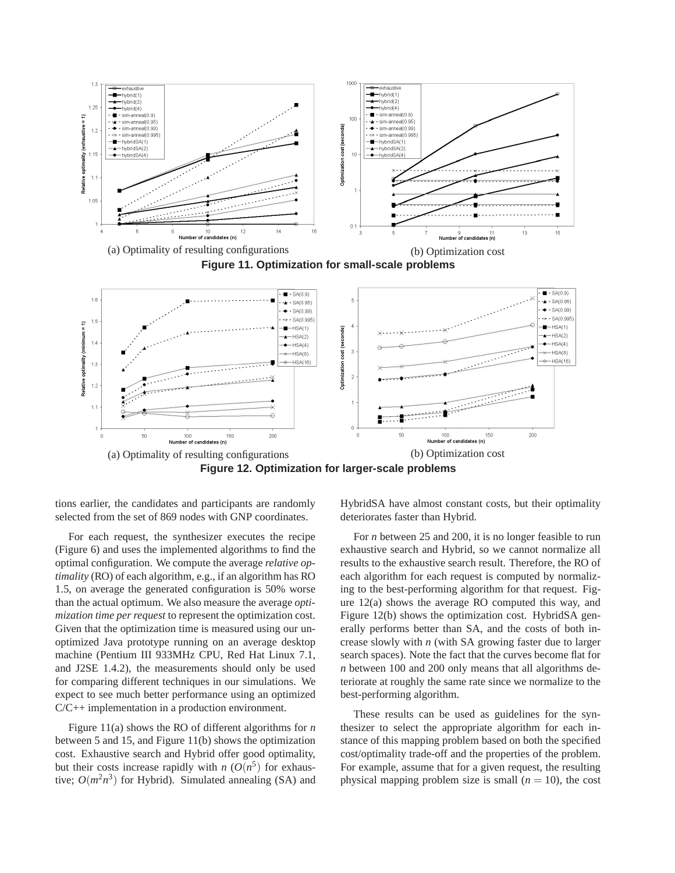

**Figure 12. Optimization for larger-scale problems**

tions earlier, the candidates and participants are randomly selected from the set of 869 nodes with GNP coordinates.

For each request, the synthesizer executes the recipe (Figure 6) and uses the implemented algorithms to find the optimal configuration. We compute the average *relative optimality* (RO) of each algorithm, e.g., if an algorithm has RO 1.5, on average the generated configuration is 50% worse than the actual optimum. We also measure the average *optimization time per request* to represent the optimization cost. Given that the optimization time is measured using our unoptimized Java prototype running on an average desktop machine (Pentium III 933MHz CPU, Red Hat Linux 7.1, and J2SE 1.4.2), the measurements should only be used for comparing different techniques in our simulations. We expect to see much better performance using an optimized C/C++ implementation in a production environment.

Figure 11(a) shows the RO of different algorithms for *n* between 5 and 15, and Figure 11(b) shows the optimization cost. Exhaustive search and Hybrid offer good optimality, but their costs increase rapidly with *n*  $(O(n^5))$  for exhaustive;  $O(m^2n^3)$  for Hybrid). Simulated annealing (SA) and HybridSA have almost constant costs, but their optimality deteriorates faster than Hybrid.

For *n* between 25 and 200, it is no longer feasible to run exhaustive search and Hybrid, so we cannot normalize all results to the exhaustive search result. Therefore, the RO of each algorithm for each request is computed by normalizing to the best-performing algorithm for that request. Figure 12(a) shows the average RO computed this way, and Figure 12(b) shows the optimization cost. HybridSA generally performs better than SA, and the costs of both increase slowly with *n* (with SA growing faster due to larger search spaces). Note the fact that the curves become flat for *n* between 100 and 200 only means that all algorithms deteriorate at roughly the same rate since we normalize to the best-performing algorithm.

These results can be used as guidelines for the synthesizer to select the appropriate algorithm for each instance of this mapping problem based on both the specified cost/optimality trade-off and the properties of the problem. For example, assume that for a given request, the resulting physical mapping problem size is small  $(n = 10)$ , the cost